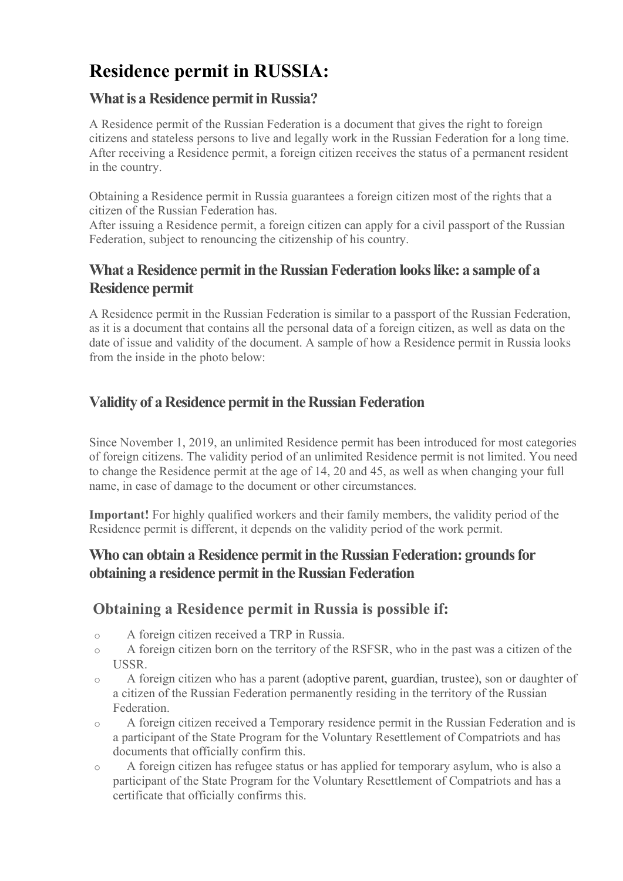# Residence permit in RUSSIA:

## What is a Residence permit in Russia?

A Residence permit of the Russian Federation is a document that gives the right to foreign citizens and stateless persons to live and legally work in the Russian Federation for a long time. After receiving a Residence permit, a foreign citizen receives the status of a permanent resident in the country.

Obtaining a Residence permit in Russia guarantees a foreign citizen most of the rights that a citizen of the Russian Federation has.

After issuing a Residence permit, a foreign citizen can apply for a civil passport of the Russian Federation, subject to renouncing the citizenship of his country.

# What a Residence permit in the Russian Federation looks like: a sample of a Residence permit

A Residence permit in the Russian Federation is similar to a passport of the Russian Federation, as it is a document that contains all the personal data of a foreign citizen, as well as data on the date of issue and validity of the document. A sample of how a Residence permit in Russia looks from the inside in the photo below:

# Validity of a Residence permit in the Russian Federation

Since November 1, 2019, an unlimited Residence permit has been introduced for most categories of foreign citizens. The validity period of an unlimited Residence permit is not limited. You need to change the Residence permit at the age of 14, 20 and 45, as well as when changing your full name, in case of damage to the document or other circumstances.

Important! For highly qualified workers and their family members, the validity period of the Residence permit is different, it depends on the validity period of the work permit.

## Who can obtain a Residence permit in the Russian Federation: grounds for obtaining a residence permit in the Russian Federation

# Obtaining a Residence permit in Russia is possible if:

- o A foreign citizen received a TRP in Russia.
- o A foreign citizen born on the territory of the RSFSR, who in the past was a citizen of the USSR.
- o A foreign citizen who has a parent (adoptive parent, guardian, trustee), son or daughter of a citizen of the Russian Federation permanently residing in the territory of the Russian Federation.
- o A foreign citizen received a Temporary residence permit in the Russian Federation and is a participant of the State Program for the Voluntary Resettlement of Compatriots and has documents that officially confirm this.
- o A foreign citizen has refugee status or has applied for temporary asylum, who is also a participant of the State Program for the Voluntary Resettlement of Compatriots and has a certificate that officially confirms this.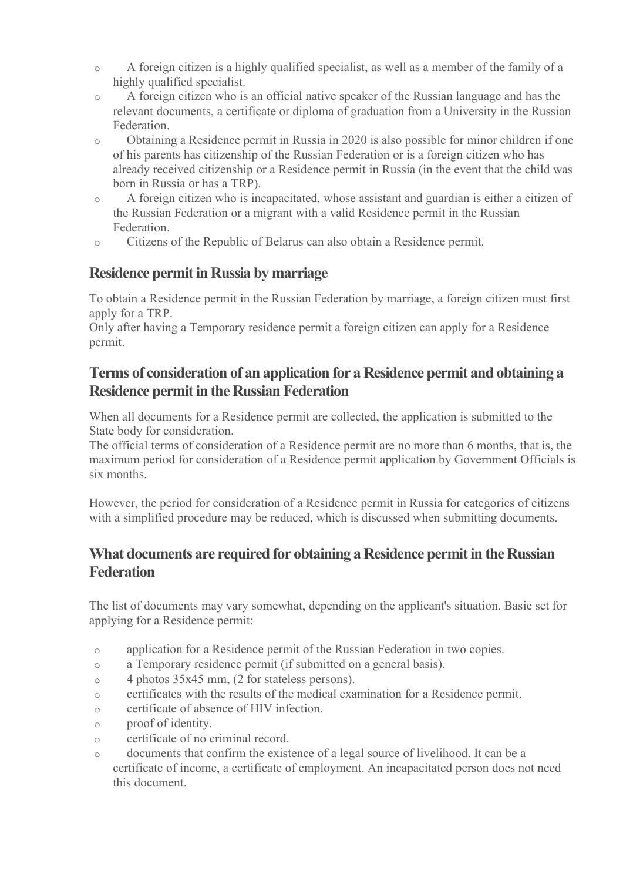- o A foreign citizen is a highly qualified specialist, as well as a member of the family of a highly qualified specialist.
- o A foreign citizen who is an official native speaker of the Russian language and has the relevant documents, a certificate or diploma of graduation from a University in the Russian Federation.
- o Obtaining a Residence permit in Russia in 2020 is also possible for minor children if one of his parents has citizenship of the Russian Federation or is a foreign citizen who has already received citizenship or a Residence permit in Russia (in the event that the child was born in Russia or has a TRP).
- o A foreign citizen who is incapacitated, whose assistant and guardian is either a citizen of the Russian Federation or a migrant with a valid Residence permit in the Russian Federation.
- o Citizens of the Republic of Belarus can also obtain a Residence permit.

#### Residence permit in Russia by marriage

To obtain a Residence permit in the Russian Federation by marriage, a foreign citizen must first apply for a TRP.

Only after having a Temporary residence permit a foreign citizen can apply for a Residence permit.

## Terms of consideration of an application for a Residence permit and obtaining a Residence permit in the Russian Federation

When all documents for a Residence permit are collected, the application is submitted to the State body for consideration.

The official terms of consideration of a Residence permit are no more than 6 months, that is, the maximum period for consideration of a Residence permit application by Government Officials is six months.

However, the period for consideration of a Residence permit in Russia for categories of citizens with a simplified procedure may be reduced, which is discussed when submitting documents.

## What documents are required for obtaining a Residence permit in the Russian **Federation**

The list of documents may vary somewhat, depending on the applicant's situation. Basic set for applying for a Residence permit:

- o application for a Residence permit of the Russian Federation in two copies.
- o a Temporary residence permit (if submitted on a general basis).
- o 4 photos 35x45 mm, (2 for stateless persons).
- o certificates with the results of the medical examination for a Residence permit.
- o certificate of absence of HIV infection.
- o proof of identity.
- o certificate of no criminal record.
- o documents that confirm the existence of a legal source of livelihood. It can be a certificate of income, a certificate of employment. An incapacitated person does not need this document.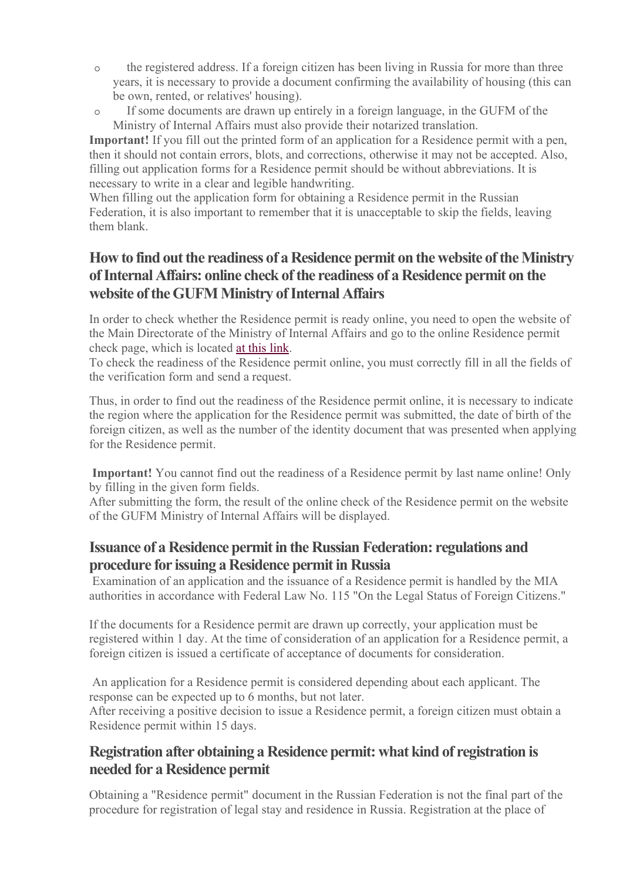- o the registered address. If a foreign citizen has been living in Russia for more than three years, it is necessary to provide a document confirming the availability of housing (this can be own, rented, or relatives' housing).
- o If some documents are drawn up entirely in a foreign language, in the GUFM of the Ministry of Internal Affairs must also provide their notarized translation.

Important! If you fill out the printed form of an application for a Residence permit with a pen, then it should not contain errors, blots, and corrections, otherwise it may not be accepted. Also, filling out application forms for a Residence permit should be without abbreviations. It is necessary to write in a clear and legible handwriting.

When filling out the application form for obtaining a Residence permit in the Russian Federation, it is also important to remember that it is unacceptable to skip the fields, leaving them blank.

## How to find out the readiness of a Residence permit on the website of the Ministry of Internal Affairs: online check of the readiness of a Residence permit on the website of the GUFM Ministry of Internal Affairs

In order to check whether the Residence permit is ready online, you need to open the website of the Main Directorate of the Ministry of Internal Affairs and go to the online Residence permit check page, which is located at this link.

To check the readiness of the Residence permit online, you must correctly fill in all the fields of the verification form and send a request.

Thus, in order to find out the readiness of the Residence permit online, it is necessary to indicate the region where the application for the Residence permit was submitted, the date of birth of the foreign citizen, as well as the number of the identity document that was presented when applying for the Residence permit.

Important! You cannot find out the readiness of a Residence permit by last name online! Only by filling in the given form fields.

After submitting the form, the result of the online check of the Residence permit on the website of the GUFM Ministry of Internal Affairs will be displayed.

#### Issuance of a Residence permit in the Russian Federation: regulations and procedure for issuing a Residence permit in Russia

 Examination of an application and the issuance of a Residence permit is handled by the MIA authorities in accordance with Federal Law No. 115 "On the Legal Status of Foreign Citizens."

If the documents for a Residence permit are drawn up correctly, your application must be registered within 1 day. At the time of consideration of an application for a Residence permit, a foreign citizen is issued a certificate of acceptance of documents for consideration.

 An application for a Residence permit is considered depending about each applicant. The response can be expected up to 6 months, but not later.

After receiving a positive decision to issue a Residence permit, a foreign citizen must obtain a Residence permit within 15 days.

## Registration after obtaining a Residence permit: what kind of registration is needed for a Residence permit

Obtaining a "Residence permit" document in the Russian Federation is not the final part of the procedure for registration of legal stay and residence in Russia. Registration at the place of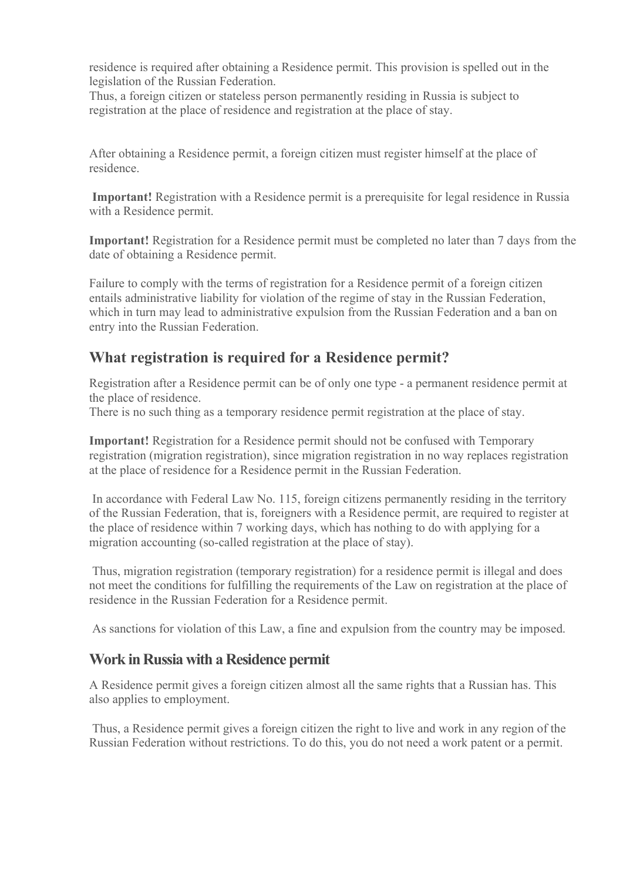residence is required after obtaining a Residence permit. This provision is spelled out in the legislation of the Russian Federation.

Thus, a foreign citizen or stateless person permanently residing in Russia is subject to registration at the place of residence and registration at the place of stay.

After obtaining a Residence permit, a foreign citizen must register himself at the place of residence.

Important! Registration with a Residence permit is a prerequisite for legal residence in Russia with a Residence permit.

Important! Registration for a Residence permit must be completed no later than 7 days from the date of obtaining a Residence permit.

Failure to comply with the terms of registration for a Residence permit of a foreign citizen entails administrative liability for violation of the regime of stay in the Russian Federation, which in turn may lead to administrative expulsion from the Russian Federation and a ban on entry into the Russian Federation.

## What registration is required for a Residence permit?

Registration after a Residence permit can be of only one type - a permanent residence permit at the place of residence.

There is no such thing as a temporary residence permit registration at the place of stay.

Important! Registration for a Residence permit should not be confused with Temporary registration (migration registration), since migration registration in no way replaces registration at the place of residence for a Residence permit in the Russian Federation.

 In accordance with Federal Law No. 115, foreign citizens permanently residing in the territory of the Russian Federation, that is, foreigners with a Residence permit, are required to register at the place of residence within 7 working days, which has nothing to do with applying for a migration accounting (so-called registration at the place of stay).

 Thus, migration registration (temporary registration) for a residence permit is illegal and does not meet the conditions for fulfilling the requirements of the Law on registration at the place of residence in the Russian Federation for a Residence permit.

As sanctions for violation of this Law, a fine and expulsion from the country may be imposed.

#### Work in Russia with a Residence permit

A Residence permit gives a foreign citizen almost all the same rights that a Russian has. This also applies to employment.

 Thus, a Residence permit gives a foreign citizen the right to live and work in any region of the Russian Federation without restrictions. To do this, you do not need a work patent or a permit.